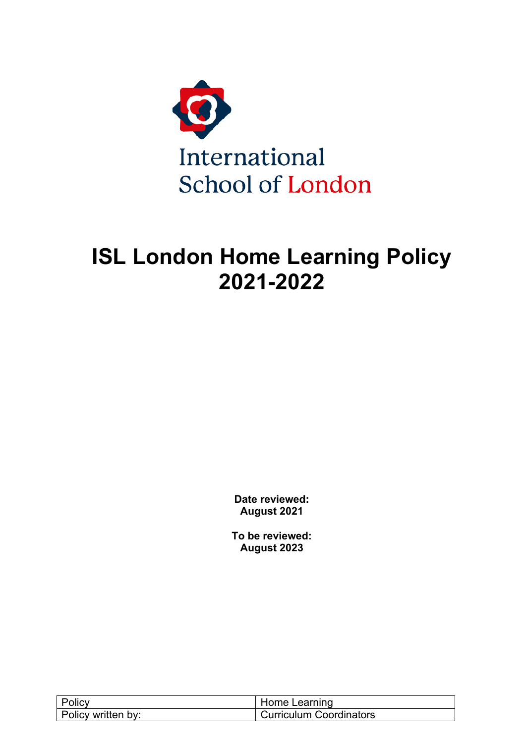

# **ISL London Home Learning Policy 2021-2022**

**Date reviewed: August 2021**

**To be reviewed: August 2023**

| Policy             | Home Learning           |
|--------------------|-------------------------|
| Policy written by: | Curriculum Coordinators |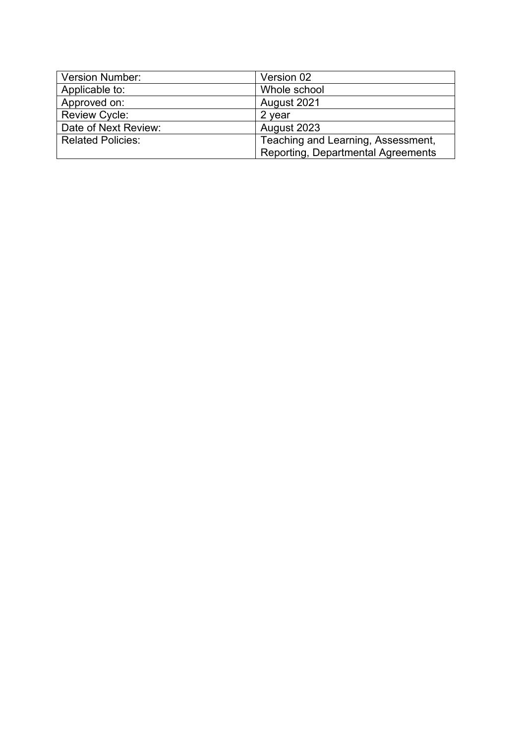| <b>Version Number:</b>   | Version 02                                |  |
|--------------------------|-------------------------------------------|--|
| Applicable to:           | Whole school                              |  |
| Approved on:             | August 2021                               |  |
| <b>Review Cycle:</b>     | 2 year                                    |  |
| Date of Next Review:     | August 2023                               |  |
| <b>Related Policies:</b> | Teaching and Learning, Assessment,        |  |
|                          | <b>Reporting, Departmental Agreements</b> |  |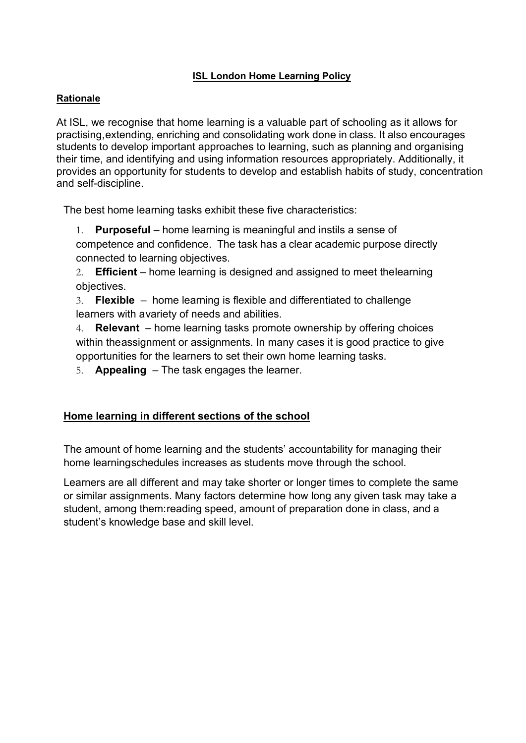## **ISL London Home Learning Policy**

#### **Rationale**

At ISL, we recognise that home learning is a valuable part of schooling as it allows for practising,extending, enriching and consolidating work done in class. It also encourages students to develop important approaches to learning, such as planning and organising their time, and identifying and using information resources appropriately. Additionally, it provides an opportunity for students to develop and establish habits of study, concentration and self-discipline.

The best home learning tasks exhibit these five characteristics:

- 1. **Purposeful**  home learning is meaningful and instils a sense of competence and confidence. The task has a clear academic purpose directly connected to learning objectives.
- 2. **Efficient**  home learning is designed and assigned to meet thelearning objectives.

3. **Flexible** – home learning is flexible and differentiated to challenge learners with avariety of needs and abilities.

4. **Relevant** – home learning tasks promote ownership by offering choices within theassignment or assignments. In many cases it is good practice to give opportunities for the learners to set their own home learning tasks.

5. **Appealing** – The task engages the learner.

## **Home learning in different sections of the school**

The amount of home learning and the students' accountability for managing their home learningschedules increases as students move through the school.

Learners are all different and may take shorter or longer times to complete the same or similar assignments. Many factors determine how long any given task may take a student, among them:reading speed, amount of preparation done in class, and a student's knowledge base and skill level.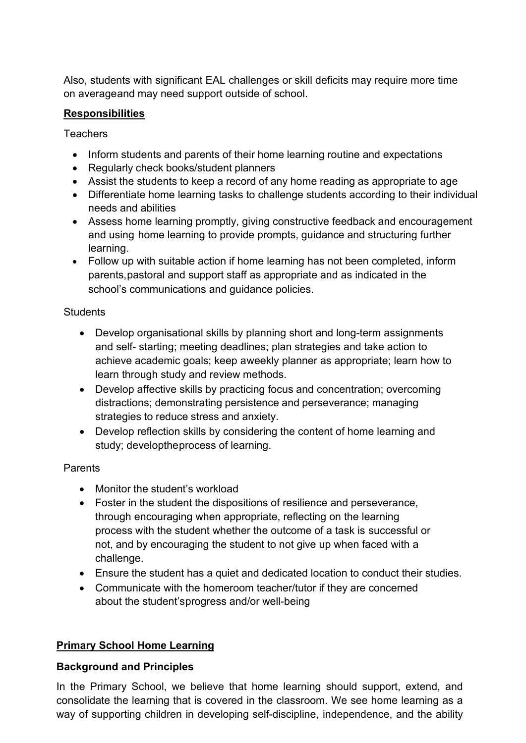Also, students with significant EAL challenges or skill deficits may require more time on averageand may need support outside of school.

# **Responsibilities**

**Teachers** 

- Inform students and parents of their home learning routine and expectations
- Regularly check books/student planners
- Assist the students to keep a record of any home reading as appropriate to age
- Differentiate home learning tasks to challenge students according to their individual needs and abilities
- Assess home learning promptly, giving constructive feedback and encouragement and using home learning to provide prompts, guidance and structuring further learning.
- Follow up with suitable action if home learning has not been completed, inform parents,pastoral and support staff as appropriate and as indicated in the school's communications and guidance policies.

## **Students**

- Develop organisational skills by planning short and long-term assignments and self- starting; meeting deadlines; plan strategies and take action to achieve academic goals; keep aweekly planner as appropriate; learn how to learn through study and review methods.
- Develop affective skills by practicing focus and concentration; overcoming distractions; demonstrating persistence and perseverance; managing strategies to reduce stress and anxiety.
- Develop reflection skills by considering the content of home learning and study; developtheprocess of learning.

# **Parents**

- Monitor the student's workload
- Foster in the student the dispositions of resilience and perseverance, through encouraging when appropriate, reflecting on the learning process with the student whether the outcome of a task is successful or not, and by encouraging the student to not give up when faced with a challenge.
- Ensure the student has a quiet and dedicated location to conduct their studies.
- Communicate with the homeroom teacher/tutor if they are concerned about the student'sprogress and/or well-being

# **Primary School Home Learning**

# **Background and Principles**

In the Primary School, we believe that home learning should support, extend, and consolidate the learning that is covered in the classroom. We see home learning as a way of supporting children in developing self-discipline, independence, and the ability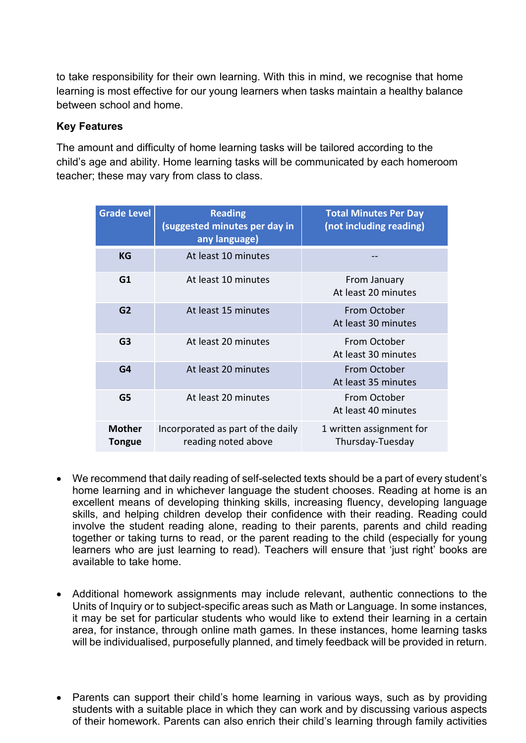to take responsibility for their own learning. With this in mind, we recognise that home learning is most effective for our young learners when tasks maintain a healthy balance between school and home.

## **Key Features**

The amount and difficulty of home learning tasks will be tailored according to the child's age and ability. Home learning tasks will be communicated by each homeroom teacher; these may vary from class to class.

| <b>Grade Level</b>             | <b>Reading</b><br>(suggested minutes per day in<br>any language) | <b>Total Minutes Per Day</b><br>(not including reading) |
|--------------------------------|------------------------------------------------------------------|---------------------------------------------------------|
| KG                             | At least 10 minutes                                              |                                                         |
| G1                             | At least 10 minutes                                              | From January<br>At least 20 minutes                     |
| G <sub>2</sub>                 | At least 15 minutes                                              | From October<br>At least 30 minutes                     |
| G <sub>3</sub>                 | At least 20 minutes                                              | From October<br>At least 30 minutes                     |
| G4                             | At least 20 minutes                                              | From October<br>At least 35 minutes                     |
| G <sub>5</sub>                 | At least 20 minutes                                              | From October<br>At least 40 minutes                     |
| <b>Mother</b><br><b>Tongue</b> | Incorporated as part of the daily<br>reading noted above         | 1 written assignment for<br>Thursday-Tuesday            |

- We recommend that daily reading of self-selected texts should be a part of every student's home learning and in whichever language the student chooses. Reading at home is an excellent means of developing thinking skills, increasing fluency, developing language skills, and helping children develop their confidence with their reading. Reading could involve the student reading alone, reading to their parents, parents and child reading together or taking turns to read, or the parent reading to the child (especially for young learners who are just learning to read). Teachers will ensure that 'just right' books are available to take home.
- Additional homework assignments may include relevant, authentic connections to the Units of Inquiry or to subject-specific areas such as Math or Language. In some instances, it may be set for particular students who would like to extend their learning in a certain area, for instance, through online math games. In these instances, home learning tasks will be individualised, purposefully planned, and timely feedback will be provided in return.
- Parents can support their child's home learning in various ways, such as by providing students with a suitable place in which they can work and by discussing various aspects of their homework. Parents can also enrich their child's learning through family activities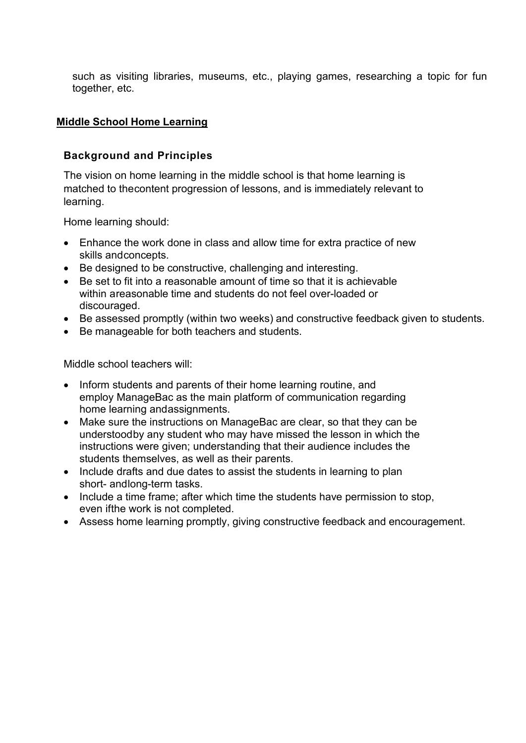such as visiting libraries, museums, etc., playing games, researching a topic for fun together, etc.

#### **Middle School Home Learning**

#### **Background and Principles**

The vision on home learning in the middle school is that home learning is matched to thecontent progression of lessons, and is immediately relevant to learning.

Home learning should:

- Enhance the work done in class and allow time for extra practice of new skills andconcepts.
- Be designed to be constructive, challenging and interesting.
- Be set to fit into a reasonable amount of time so that it is achievable within areasonable time and students do not feel over-loaded or discouraged.
- Be assessed promptly (within two weeks) and constructive feedback given to students.
- Be manageable for both teachers and students.

Middle school teachers will:

- Inform students and parents of their home learning routine, and employ ManageBac as the main platform of communication regarding home learning andassignments.
- Make sure the instructions on ManageBac are clear, so that they can be understoodby any student who may have missed the lesson in which the instructions were given; understanding that their audience includes the students themselves, as well as their parents.
- Include drafts and due dates to assist the students in learning to plan short- andlong-term tasks.
- Include a time frame; after which time the students have permission to stop, even ifthe work is not completed.
- Assess home learning promptly, giving constructive feedback and encouragement.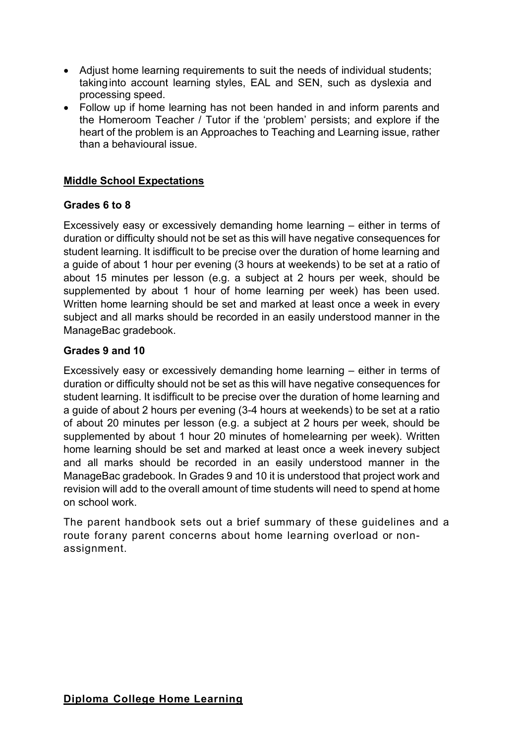- Adjust home learning requirements to suit the needs of individual students; takinginto account learning styles, EAL and SEN, such as dyslexia and processing speed.
- Follow up if home learning has not been handed in and inform parents and the Homeroom Teacher / Tutor if the 'problem' persists; and explore if the heart of the problem is an Approaches to Teaching and Learning issue, rather than a behavioural issue.

# **Middle School Expectations**

#### **Grades 6 to 8**

Excessively easy or excessively demanding home learning – either in terms of duration or difficulty should not be set as this will have negative consequences for student learning. It isdifficult to be precise over the duration of home learning and a guide of about 1 hour per evening (3 hours at weekends) to be set at a ratio of about 15 minutes per lesson (e.g. a subject at 2 hours per week, should be supplemented by about 1 hour of home learning per week) has been used. Written home learning should be set and marked at least once a week in every subject and all marks should be recorded in an easily understood manner in the ManageBac gradebook.

## **Grades 9 and 10**

Excessively easy or excessively demanding home learning – either in terms of duration or difficulty should not be set as this will have negative consequences for student learning. It isdifficult to be precise over the duration of home learning and a guide of about 2 hours per evening (3-4 hours at weekends) to be set at a ratio of about 20 minutes per lesson (e.g. a subject at 2 hours per week, should be supplemented by about 1 hour 20 minutes of homelearning per week). Written home learning should be set and marked at least once a week inevery subject and all marks should be recorded in an easily understood manner in the ManageBac gradebook. In Grades 9 and 10 it is understood that project work and revision will add to the overall amount of time students will need to spend at home on school work.

The parent handbook sets out a brief summary of these guidelines and a route forany parent concerns about home learning overload or nonassignment.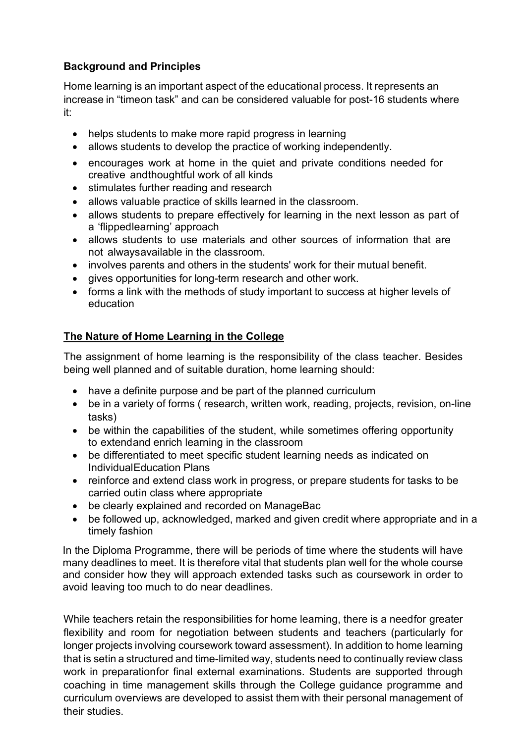# **Background and Principles**

Home learning is an important aspect of the educational process. It represents an increase in "timeon task" and can be considered valuable for post-16 students where it:

- helps students to make more rapid progress in learning
- allows students to develop the practice of working independently.
- encourages work at home in the quiet and private conditions needed for creative andthoughtful work of all kinds
- stimulates further reading and research
- allows valuable practice of skills learned in the classroom.
- allows students to prepare effectively for learning in the next lesson as part of a 'flippedlearning' approach
- allows students to use materials and other sources of information that are not alwaysavailable in the classroom.
- involves parents and others in the students' work for their mutual benefit.
- gives opportunities for long-term research and other work.
- forms a link with the methods of study important to success at higher levels of education

# **The Nature of Home Learning in the College**

The assignment of home learning is the responsibility of the class teacher. Besides being well planned and of suitable duration, home learning should:

- have a definite purpose and be part of the planned curriculum
- be in a variety of forms (research, written work, reading, projects, revision, on-line tasks)
- be within the capabilities of the student, while sometimes offering opportunity to extendand enrich learning in the classroom
- be differentiated to meet specific student learning needs as indicated on IndividualEducation Plans
- reinforce and extend class work in progress, or prepare students for tasks to be carried outin class where appropriate
- be clearly explained and recorded on ManageBac
- be followed up, acknowledged, marked and given credit where appropriate and in a timely fashion

In the Diploma Programme, there will be periods of time where the students will have many deadlines to meet. It is therefore vital that students plan well for the whole course and consider how they will approach extended tasks such as coursework in order to avoid leaving too much to do near deadlines.

While teachers retain the responsibilities for home learning, there is a needfor greater flexibility and room for negotiation between students and teachers (particularly for longer projects involving coursework toward assessment). In addition to home learning that is setin a structured and time-limited way, students need to continually review class work in preparationfor final external examinations. Students are supported through coaching in time management skills through the College guidance programme and curriculum overviews are developed to assist them with their personal management of their studies.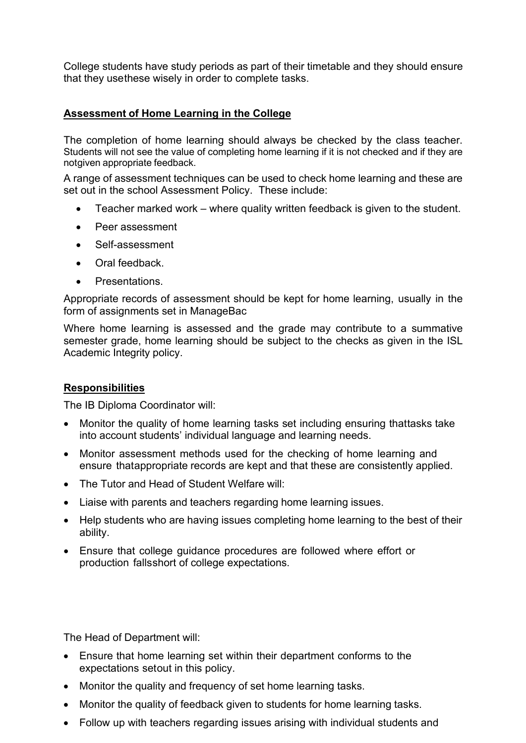College students have study periods as part of their timetable and they should ensure that they usethese wisely in order to complete tasks.

## **Assessment of Home Learning in the College**

The completion of home learning should always be checked by the class teacher. Students will not see the value of completing home learning if it is not checked and if they are notgiven appropriate feedback.

A range of assessment techniques can be used to check home learning and these are set out in the school Assessment Policy. These include:

- Teacher marked work where quality written feedback is given to the student.
- Peer assessment
- Self-assessment
- Oral feedback.
- Presentations.

Appropriate records of assessment should be kept for home learning, usually in the form of assignments set in ManageBac

Where home learning is assessed and the grade may contribute to a summative semester grade, home learning should be subject to the checks as given in the ISL Academic Integrity policy.

## **Responsibilities**

The IB Diploma Coordinator will:

- Monitor the quality of home learning tasks set including ensuring thattasks take into account students' individual language and learning needs.
- Monitor assessment methods used for the checking of home learning and ensure thatappropriate records are kept and that these are consistently applied.
- The Tutor and Head of Student Welfare will:
- Liaise with parents and teachers regarding home learning issues.
- Help students who are having issues completing home learning to the best of their ability.
- Ensure that college guidance procedures are followed where effort or production fallsshort of college expectations.

The Head of Department will:

- Ensure that home learning set within their department conforms to the expectations setout in this policy.
- Monitor the quality and frequency of set home learning tasks.
- Monitor the quality of feedback given to students for home learning tasks.
- Follow up with teachers regarding issues arising with individual students and